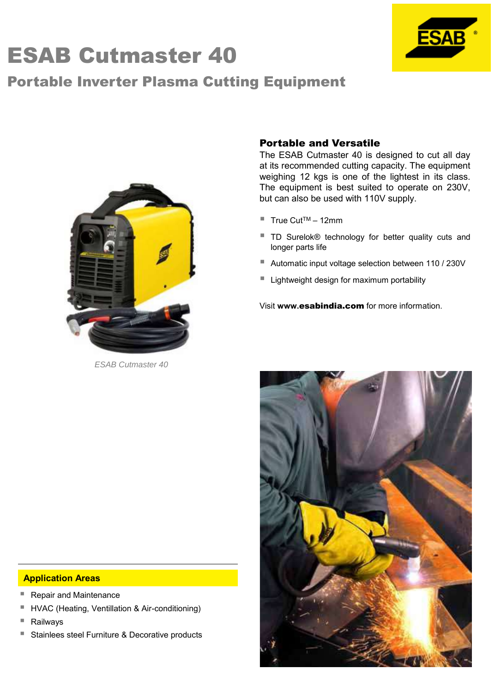# ESAB Cutmaster 40

## Portable Inverter Plasma Cutting Equipment



### Portable and Versatile

The ESAB Cutmaster 40 is designed to cut all day at its recommended cutting capacity. The equipment weighing 12 kgs is one of the lightest in its class. The equipment is best suited to operate on 230V, but can also be used with 110V supply.

- True Cut<sup>TM</sup> 12mm
- TD Surelok® technology for better quality cuts and longer parts life
- Automatic input voltage selection between 110 / 230V
- Lightweight design for maximum portability

Visit **www.**esabindia.com for more information.



#### **Application Areas**

- Repair and Maintenance
- HVAC (Heating, Ventillation & Air-conditioning)
- Railways
- Stainlees steel Furniture & Decorative products



*ESAB Cutmaster 40*